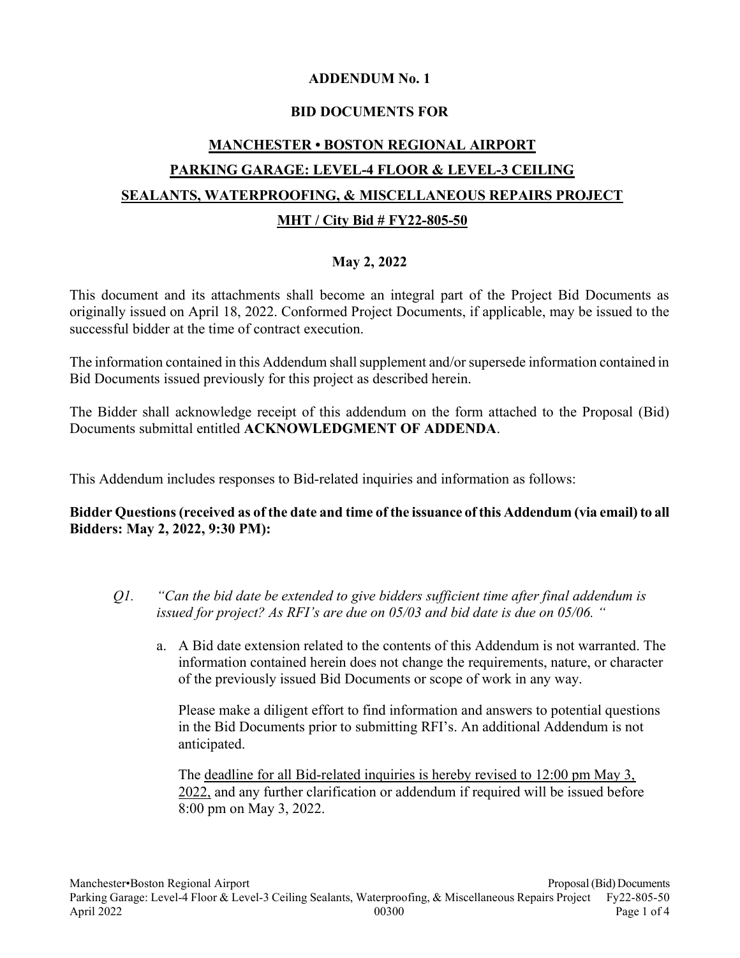## ADDENDUM No. 1

## BID DOCUMENTS FOR

# MANCHESTER • BOSTON REGIONAL AIRPORT PARKING GARAGE: LEVEL-4 FLOOR & LEVEL-3 CEILING SEALANTS, WATERPROOFING, & MISCELLANEOUS REPAIRS PROJECT MHT / City Bid # FY22-805-50

## May 2, 2022

This document and its attachments shall become an integral part of the Project Bid Documents as originally issued on April 18, 2022. Conformed Project Documents, if applicable, may be issued to the successful bidder at the time of contract execution.

The information contained in this Addendum shall supplement and/or supersede information contained in Bid Documents issued previously for this project as described herein.

The Bidder shall acknowledge receipt of this addendum on the form attached to the Proposal (Bid) Documents submittal entitled ACKNOWLEDGMENT OF ADDENDA.

This Addendum includes responses to Bid-related inquiries and information as follows:

## Bidder Questions (received as of the date and time of the issuance of this Addendum (via email) to all Bidders: May 2, 2022, 9:30 PM):

- Q1. "Can the bid date be extended to give bidders sufficient time after final addendum is issued for project? As RFI's are due on 05/03 and bid date is due on 05/06. "
	- a. A Bid date extension related to the contents of this Addendum is not warranted. The information contained herein does not change the requirements, nature, or character of the previously issued Bid Documents or scope of work in any way.

Please make a diligent effort to find information and answers to potential questions in the Bid Documents prior to submitting RFI's. An additional Addendum is not anticipated.

The deadline for all Bid-related inquiries is hereby revised to 12:00 pm May 3, 2022, and any further clarification or addendum if required will be issued before 8:00 pm on May 3, 2022.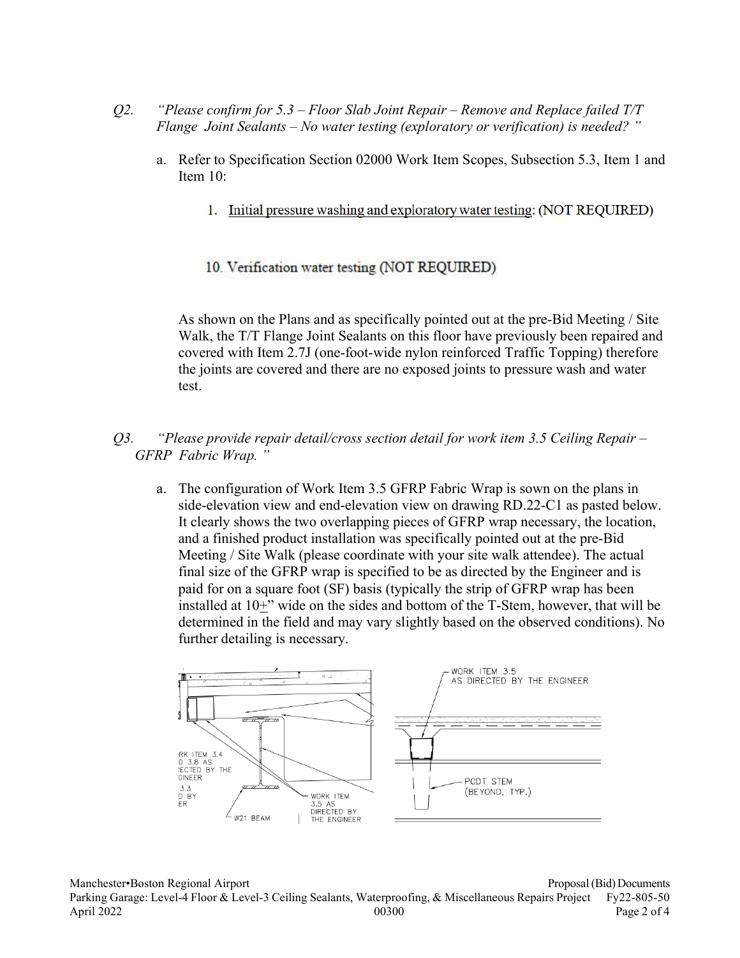- O2. "Please confirm for  $5.3$  Floor Slab Joint Repair Remove and Replace failed T/T Flange Joint Sealants – No water testing (exploratory or verification) is needed? "
	- a. Refer to Specification Section 02000 Work Item Scopes, Subsection 5.3, Item 1 and Item 10:
		- 1. Initial pressure washing and exploratory water testing: (NOT REQUIRED)
		- 10. Verification water testing (NOT REQUIRED)

As shown on the Plans and as specifically pointed out at the pre-Bid Meeting / Site Walk, the T/T Flange Joint Sealants on this floor have previously been repaired and covered with Item 2.7J (one-foot-wide nylon reinforced Traffic Topping) therefore the joints are covered and there are no exposed joints to pressure wash and water test.

- Q3. "Please provide repair detail/cross section detail for work item 3.5 Ceiling Repair GFRP Fabric Wrap. "
	- a. The configuration of Work Item 3.5 GFRP Fabric Wrap is sown on the plans in side-elevation view and end-elevation view on drawing RD.22-C1 as pasted below. It clearly shows the two overlapping pieces of GFRP wrap necessary, the location, and a finished product installation was specifically pointed out at the pre-Bid Meeting / Site Walk (please coordinate with your site walk attendee). The actual final size of the GFRP wrap is specified to be as directed by the Engineer and is paid for on a square foot (SF) basis (typically the strip of GFRP wrap has been installed at 10+" wide on the sides and bottom of the T-Stem, however, that will be determined in the field and may vary slightly based on the observed conditions). No further detailing is necessary.

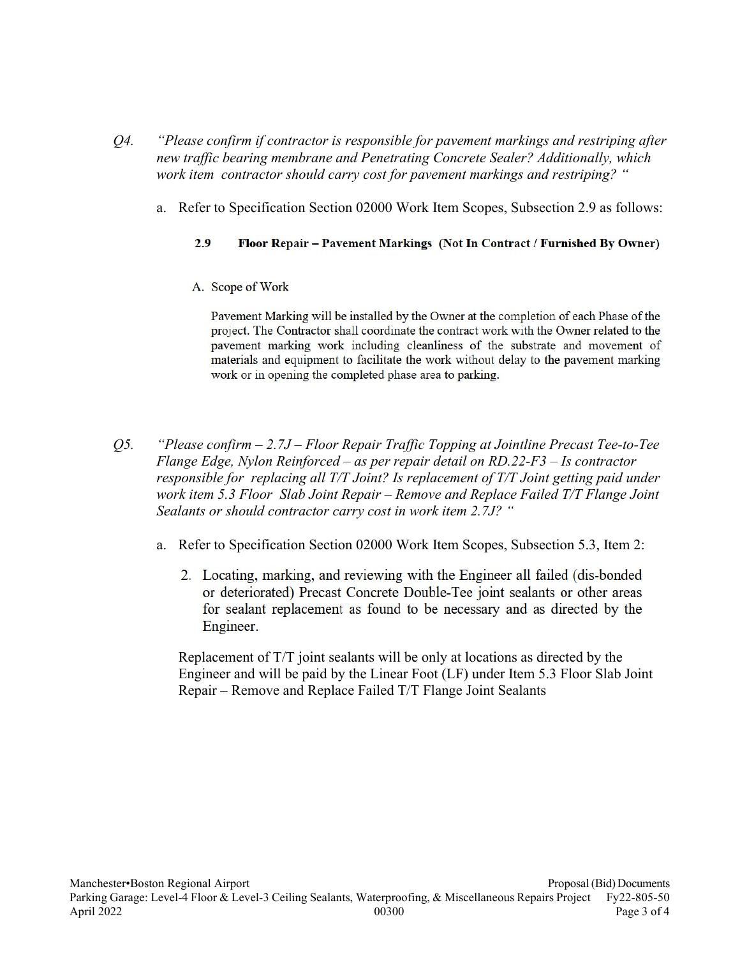- Q4. "Please confirm if contractor is responsible for pavement markings and restriping after new traffic bearing membrane and Penetrating Concrete Sealer? Additionally, which work item contractor should carry cost for pavement markings and restriping? "
	- a. Refer to Specification Section 02000 Work Item Scopes, Subsection 2.9 as follows:

#### $2.9$ Floor Repair – Pavement Markings (Not In Contract / Furnished By Owner)

A. Scope of Work

Payement Marking will be installed by the Owner at the completion of each Phase of the project. The Contractor shall coordinate the contract work with the Owner related to the payement marking work including cleanliness of the substrate and movement of materials and equipment to facilitate the work without delay to the pavement marking work or in opening the completed phase area to parking.

- Q5. "Please confirm 2.7J Floor Repair Traffic Topping at Jointline Precast Tee-to-Tee Flange Edge, Nylon Reinforced – as per repair detail on RD.22-F3 – Is contractor responsible for replacing all T/T Joint? Is replacement of T/T Joint getting paid under work item 5.3 Floor Slab Joint Repair – Remove and Replace Failed T/T Flange Joint Sealants or should contractor carry cost in work item 2.7J? "
	- a. Refer to Specification Section 02000 Work Item Scopes, Subsection 5.3, Item 2:
		- 2. Locating, marking, and reviewing with the Engineer all failed (dis-bonded) or deteriorated) Precast Concrete Double-Tee joint sealants or other areas for sealant replacement as found to be necessary and as directed by the Engineer.

Replacement of T/T joint sealants will be only at locations as directed by the Engineer and will be paid by the Linear Foot (LF) under Item 5.3 Floor Slab Joint Repair – Remove and Replace Failed T/T Flange Joint Sealants